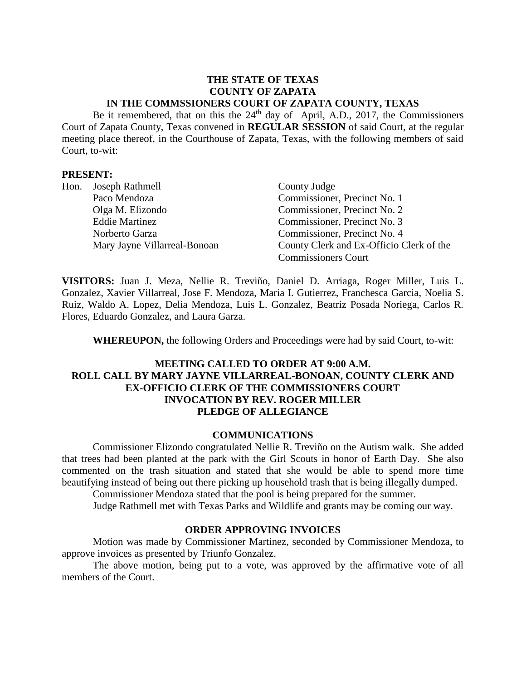## **THE STATE OF TEXAS COUNTY OF ZAPATA IN THE COMMSSIONERS COURT OF ZAPATA COUNTY, TEXAS**

Be it remembered, that on this the 24<sup>th</sup> day of April, A.D., 2017, the Commissioners Court of Zapata County, Texas convened in **REGULAR SESSION** of said Court, at the regular meeting place thereof, in the Courthouse of Zapata, Texas, with the following members of said Court, to-wit:

#### **PRESENT:**

|  | Hon. Joseph Rathmell         | County Judge                             |
|--|------------------------------|------------------------------------------|
|  | Paco Mendoza                 | Commissioner, Precinct No. 1             |
|  | Olga M. Elizondo             | Commissioner, Precinct No. 2             |
|  | <b>Eddie Martinez</b>        | Commissioner, Precinct No. 3             |
|  | Norberto Garza               | Commissioner, Precinct No. 4             |
|  | Mary Jayne Villarreal-Bonoan | County Clerk and Ex-Officio Clerk of the |
|  |                              | <b>Commissioners Court</b>               |

**VISITORS:** Juan J. Meza, Nellie R. Treviño, Daniel D. Arriaga, Roger Miller, Luis L. Gonzalez, Xavier Villarreal, Jose F. Mendoza, Maria I. Gutierrez, Franchesca Garcia, Noelia S. Ruiz, Waldo A. Lopez, Delia Mendoza, Luis L. Gonzalez, Beatriz Posada Noriega, Carlos R. Flores, Eduardo Gonzalez, and Laura Garza.

**WHEREUPON,** the following Orders and Proceedings were had by said Court, to-wit:

## **MEETING CALLED TO ORDER AT 9:00 A.M. ROLL CALL BY MARY JAYNE VILLARREAL-BONOAN, COUNTY CLERK AND EX-OFFICIO CLERK OF THE COMMISSIONERS COURT INVOCATION BY REV. ROGER MILLER PLEDGE OF ALLEGIANCE**

#### **COMMUNICATIONS**

Commissioner Elizondo congratulated Nellie R. Treviño on the Autism walk. She added that trees had been planted at the park with the Girl Scouts in honor of Earth Day. She also commented on the trash situation and stated that she would be able to spend more time beautifying instead of being out there picking up household trash that is being illegally dumped.

Commissioner Mendoza stated that the pool is being prepared for the summer.

Judge Rathmell met with Texas Parks and Wildlife and grants may be coming our way.

### **ORDER APPROVING INVOICES**

Motion was made by Commissioner Martinez, seconded by Commissioner Mendoza, to approve invoices as presented by Triunfo Gonzalez.

The above motion, being put to a vote, was approved by the affirmative vote of all members of the Court.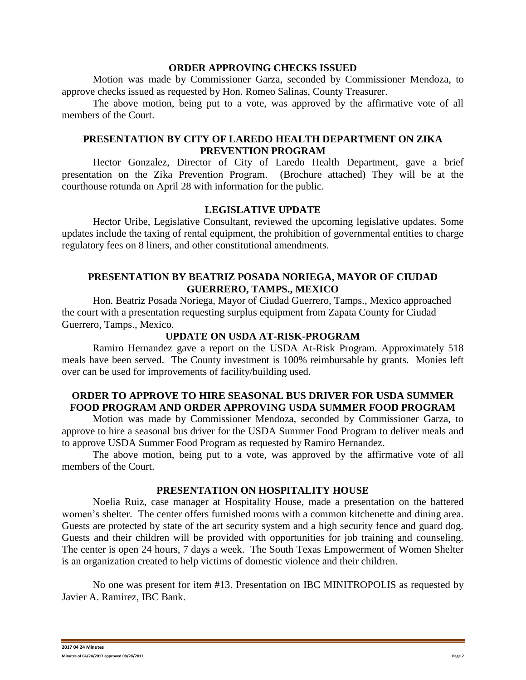#### **ORDER APPROVING CHECKS ISSUED**

Motion was made by Commissioner Garza, seconded by Commissioner Mendoza, to approve checks issued as requested by Hon. Romeo Salinas, County Treasurer.

The above motion, being put to a vote, was approved by the affirmative vote of all members of the Court.

## **PRESENTATION BY CITY OF LAREDO HEALTH DEPARTMENT ON ZIKA PREVENTION PROGRAM**

Hector Gonzalez, Director of City of Laredo Health Department, gave a brief presentation on the Zika Prevention Program. (Brochure attached) They will be at the courthouse rotunda on April 28 with information for the public.

### **LEGISLATIVE UPDATE**

Hector Uribe, Legislative Consultant, reviewed the upcoming legislative updates. Some updates include the taxing of rental equipment, the prohibition of governmental entities to charge regulatory fees on 8 liners, and other constitutional amendments.

## **PRESENTATION BY BEATRIZ POSADA NORIEGA, MAYOR OF CIUDAD GUERRERO, TAMPS., MEXICO**

Hon. Beatriz Posada Noriega, Mayor of Ciudad Guerrero, Tamps., Mexico approached the court with a presentation requesting surplus equipment from Zapata County for Ciudad Guerrero, Tamps., Mexico.

## **UPDATE ON USDA AT-RISK-PROGRAM**

Ramiro Hernandez gave a report on the USDA At-Risk Program. Approximately 518 meals have been served. The County investment is 100% reimbursable by grants. Monies left over can be used for improvements of facility/building used.

## **ORDER TO APPROVE TO HIRE SEASONAL BUS DRIVER FOR USDA SUMMER FOOD PROGRAM AND ORDER APPROVING USDA SUMMER FOOD PROGRAM**

Motion was made by Commissioner Mendoza, seconded by Commissioner Garza, to approve to hire a seasonal bus driver for the USDA Summer Food Program to deliver meals and to approve USDA Summer Food Program as requested by Ramiro Hernandez.

The above motion, being put to a vote, was approved by the affirmative vote of all members of the Court.

#### **PRESENTATION ON HOSPITALITY HOUSE**

Noelia Ruiz, case manager at Hospitality House, made a presentation on the battered women's shelter. The center offers furnished rooms with a common kitchenette and dining area. Guests are protected by state of the art security system and a high security fence and guard dog. Guests and their children will be provided with opportunities for job training and counseling. The center is open 24 hours, 7 days a week. The South Texas Empowerment of Women Shelter is an organization created to help victims of domestic violence and their children.

No one was present for item #13. Presentation on IBC MINITROPOLIS as requested by Javier A. Ramirez, IBC Bank.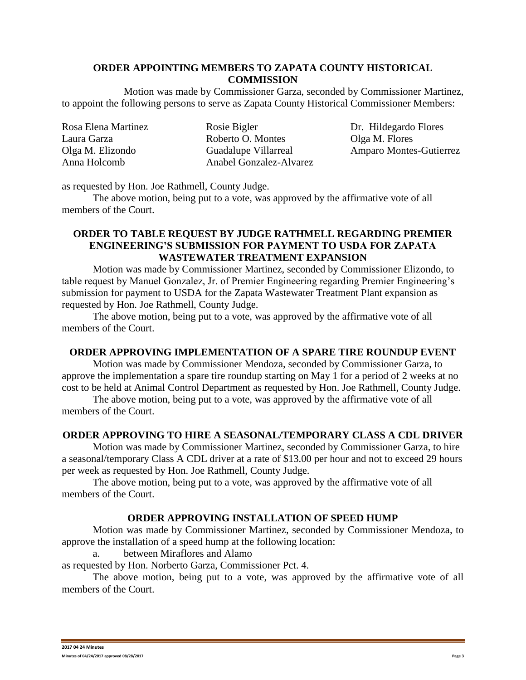## **ORDER APPOINTING MEMBERS TO ZAPATA COUNTY HISTORICAL COMMISSION**

Motion was made by Commissioner Garza, seconded by Commissioner Martinez, to appoint the following persons to serve as Zapata County Historical Commissioner Members:

| Rosa Elena Martinez | Rosie Bigler            |
|---------------------|-------------------------|
| Laura Garza         | Roberto O. Montes       |
| Olga M. Elizondo    | Guadalupe Villarreal    |
| Anna Holcomb        | Anabel Gonzalez-Alvarez |

Dr. Hildegardo Flores Olga M. Flores Amparo Montes-Gutierrez

as requested by Hon. Joe Rathmell, County Judge.

The above motion, being put to a vote, was approved by the affirmative vote of all members of the Court.

## **ORDER TO TABLE REQUEST BY JUDGE RATHMELL REGARDING PREMIER ENGINEERING'S SUBMISSION FOR PAYMENT TO USDA FOR ZAPATA WASTEWATER TREATMENT EXPANSION**

Motion was made by Commissioner Martinez, seconded by Commissioner Elizondo, to table request by Manuel Gonzalez, Jr. of Premier Engineering regarding Premier Engineering's submission for payment to USDA for the Zapata Wastewater Treatment Plant expansion as requested by Hon. Joe Rathmell, County Judge.

The above motion, being put to a vote, was approved by the affirmative vote of all members of the Court.

### **ORDER APPROVING IMPLEMENTATION OF A SPARE TIRE ROUNDUP EVENT**

Motion was made by Commissioner Mendoza, seconded by Commissioner Garza, to approve the implementation a spare tire roundup starting on May 1 for a period of 2 weeks at no cost to be held at Animal Control Department as requested by Hon. Joe Rathmell, County Judge.

The above motion, being put to a vote, was approved by the affirmative vote of all members of the Court.

# **ORDER APPROVING TO HIRE A SEASONAL/TEMPORARY CLASS A CDL DRIVER**

Motion was made by Commissioner Martinez, seconded by Commissioner Garza, to hire a seasonal/temporary Class A CDL driver at a rate of \$13.00 per hour and not to exceed 29 hours per week as requested by Hon. Joe Rathmell, County Judge.

The above motion, being put to a vote, was approved by the affirmative vote of all members of the Court.

### **ORDER APPROVING INSTALLATION OF SPEED HUMP**

Motion was made by Commissioner Martinez, seconded by Commissioner Mendoza, to approve the installation of a speed hump at the following location:

a. between Miraflores and Alamo

as requested by Hon. Norberto Garza, Commissioner Pct. 4.

The above motion, being put to a vote, was approved by the affirmative vote of all members of the Court.